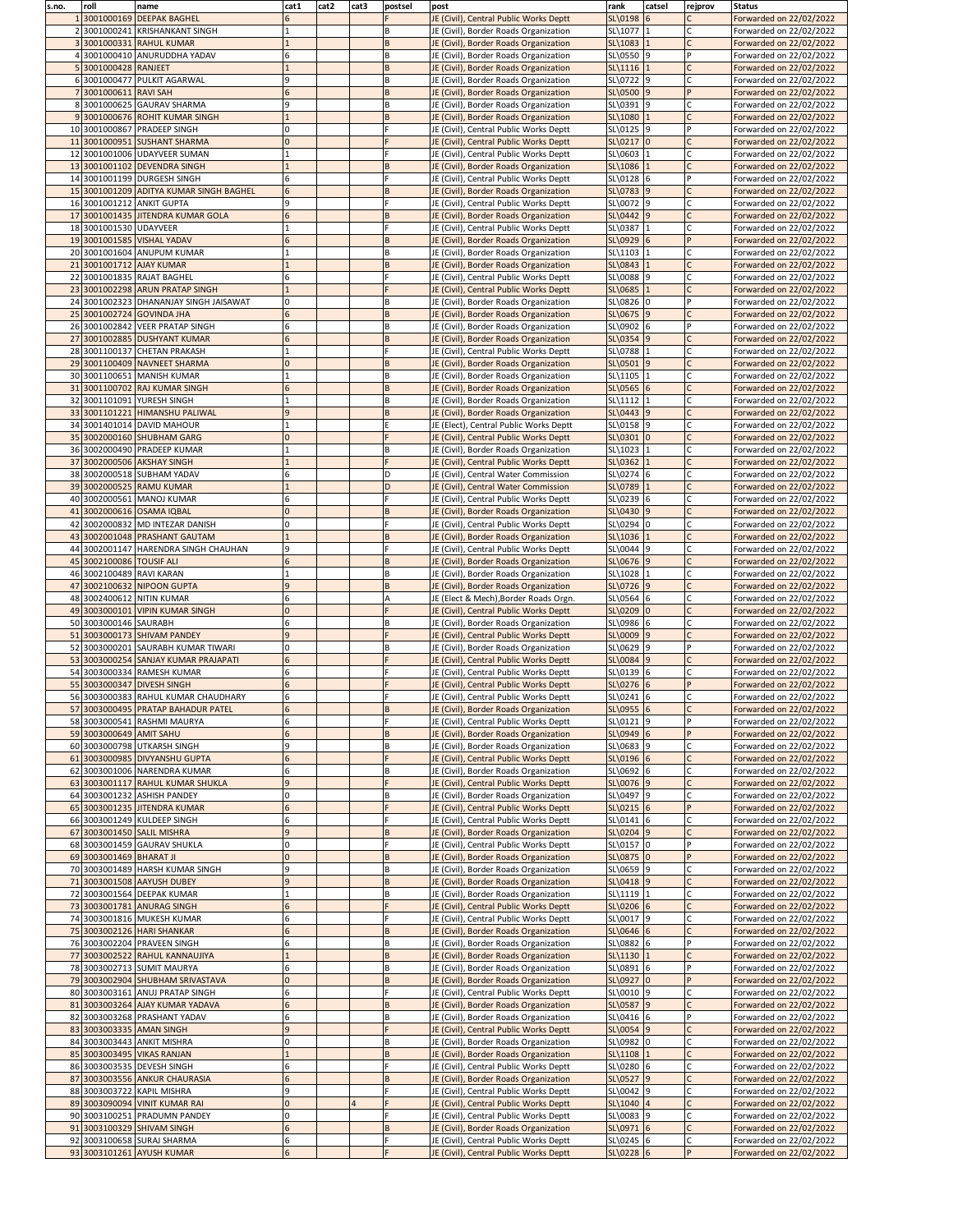| s.no. | roll                          | name                                    | cat1         | cat2 | cat3 | postsel  | post                                   | rank                    | catsel | rejprov | <b>Status</b>           |
|-------|-------------------------------|-----------------------------------------|--------------|------|------|----------|----------------------------------------|-------------------------|--------|---------|-------------------------|
|       | 3001000169                    | <b>DEEPAK BAGHEL</b>                    |              |      |      |          | JE (Civil), Central Public Works Deptt | SL\0198 6               |        |         | Forwarded on 22/02/2022 |
|       |                               | 2 3001000241 KRISHANKANT SINGH          |              |      |      | B        | JE (Civil), Border Roads Organization  | SL\1077 1               |        |         | Forwarded on 22/02/2022 |
|       |                               | 3001000331 RAHUL KUMAR                  |              |      |      | B        | JE (Civil), Border Roads Organization  | SL\1083                 |        |         | Forwarded on 22/02/2022 |
|       |                               | 4 3001000410 ANURUDDHA YADAV            |              |      |      | B        | JE (Civil), Border Roads Organization  | SL\0550 9               |        |         | Forwarded on 22/02/2022 |
|       | 3001000428 RANJEET            |                                         |              |      |      | B        | JE (Civil), Border Roads Organization  | $SL\1116$ 1             |        |         | Forwarded on 22/02/2022 |
|       |                               | 6 3001000477 PULKIT AGARWAL             | q            |      |      | <b>B</b> | JE (Civil), Border Roads Organization  | SL\0722 9               |        |         | Forwarded on 22/02/2022 |
|       | 7 3001000611 RAVI SAH         |                                         | 6            |      |      | B        | JE (Civil), Border Roads Organization  | SL\0500 9               |        |         | Forwarded on 22/02/2022 |
|       |                               | 8 3001000625 GAURAV SHARMA              | 9            |      |      | <b>B</b> | JE (Civil), Border Roads Organization  | SL\0391 9               |        |         | Forwarded on 22/02/2022 |
|       |                               | 93001000676 ROHIT KUMAR SINGH           |              |      |      | B        | JE (Civil), Border Roads Organization  | SL\1080                 |        |         |                         |
|       |                               |                                         |              |      |      |          |                                        |                         |        |         | Forwarded on 22/02/2022 |
|       |                               | 10 3001000867 PRADEEP SINGH             |              |      |      |          | JE (Civil), Central Public Works Deptt | SL\0125 9               |        |         | Forwarded on 22/02/2022 |
|       |                               | 11 3001000951 SUSHANT SHARMA            |              |      |      |          | JE (Civil), Central Public Works Deptt | $SL(0217)$ 0            |        |         | Forwarded on 22/02/2022 |
|       |                               | 12 3001001006 UDAYVEER SUMAN            |              |      |      |          | JE (Civil), Central Public Works Deptt | SL\0603                 |        |         | Forwarded on 22/02/2022 |
|       |                               | 13 3001001102 DEVENDRA SINGH            |              |      |      | B        | JE (Civil), Border Roads Organization  | SL\1086 1               |        |         | Forwarded on 22/02/2022 |
|       |                               | 14 3001001199 DURGESH SINGH             | 6            |      |      |          | JE (Civil), Central Public Works Deptt | SL\0128 6               |        |         | Forwarded on 22/02/2022 |
|       |                               | 15 3001001209 ADITYA KUMAR SINGH BAGHEL | 6            |      |      | B        | JE (Civil), Border Roads Organization  | SL\0783 9               |        |         | Forwarded on 22/02/2022 |
|       | 16 3001001212 ANKIT GUPTA     |                                         | a            |      |      |          | JE (Civil), Central Public Works Deptt | SL\0072 9               |        |         | Forwarded on 22/02/2022 |
|       |                               | 17 3001001435 JITENDRA KUMAR GOLA       | 6            |      |      | B        | JE (Civil), Border Roads Organization  | $SL(0442)$ 9            |        |         | Forwarded on 22/02/2022 |
|       | 18 3001001530 UDAYVEER        |                                         |              |      |      |          | JE (Civil), Central Public Works Deptt | SL\0387 1               |        |         | Forwarded on 22/02/2022 |
|       |                               | 19 3001001585 VISHAL YADAV              |              |      |      | B        | JE (Civil), Border Roads Organization  | SL\0929 6               |        |         | Forwarded on 22/02/2022 |
|       |                               | 20 3001001604 ANUPUM KUMAR              |              |      |      |          |                                        | SL\1103                 |        |         |                         |
|       |                               |                                         |              |      |      | B        | JE (Civil), Border Roads Organization  |                         |        |         | Forwarded on 22/02/2022 |
|       | 21 3001001712 AJAY KUMAR      |                                         |              |      |      | B        | JE (Civil), Border Roads Organization  | SL\0843                 |        |         | Forwarded on 22/02/2022 |
|       |                               | 22 3001001835 RAJAT BAGHEL              | 6            |      |      |          | JE (Civil), Central Public Works Deptt | SL\0088 9               |        |         | Forwarded on 22/02/2022 |
|       |                               | 23 3001002298 ARUN PRATAP SINGH         |              |      |      |          | JE (Civil), Central Public Works Deptt | SL\0685                 |        |         | Forwarded on 22/02/2022 |
|       |                               | 24 3001002323 DHANANJAY SINGH JAISAWAT  |              |      |      | B        | JE (Civil), Border Roads Organization  | SL\0826 0               |        |         | Forwarded on 22/02/2022 |
|       |                               | 25 3001002724 GOVINDA JHA               |              |      |      | B        | JE (Civil), Border Roads Organization  | SL\0675 9               |        |         | Forwarded on 22/02/2022 |
|       |                               | 26 3001002842 VEER PRATAP SINGH         | 6            |      |      | B        | JE (Civil), Border Roads Organization  | SL\0902 6               |        |         | Forwarded on 22/02/2022 |
|       |                               | 27 3001002885 DUSHYANT KUMAR            | 6            |      |      | B        | JE (Civil), Border Roads Organization  | SL(0354)9               |        |         | Forwarded on 22/02/2022 |
|       |                               | 28 3001100137 CHETAN PRAKASH            |              |      |      |          | JE (Civil), Central Public Works Deptt | SL\0788                 |        |         | Forwarded on 22/02/2022 |
|       |                               | 29 3001100409 NAVNEET SHARMA            |              |      |      | B        | JE (Civil), Border Roads Organization  | SL\0501 9               |        |         | Forwarded on 22/02/2022 |
|       |                               | 30 3001100651 MANISH KUMAR              |              |      |      | l B      | JE (Civil), Border Roads Organization  | SL\1105 1               |        |         | Forwarded on 22/02/2022 |
|       |                               | 31 3001100702 RAJ KUMAR SINGH           |              |      |      |          | JE (Civil), Border Roads Organization  | SL\0565 6               |        |         |                         |
|       |                               |                                         |              |      |      | ΙB       |                                        |                         |        |         | Forwarded on 22/02/2022 |
|       |                               | 32 3001101091 YURESH SINGH              |              |      |      | B        | JE (Civil), Border Roads Organization  | SL\1112 1               |        |         | Forwarded on 22/02/2022 |
|       |                               | 33 3001101221 HIMANSHU PALIWAL          |              |      |      | B        | JE (Civil), Border Roads Organization  | $SL(0443)$ 9            |        |         | Forwarded on 22/02/2022 |
|       |                               | 34 3001401014 DAVID MAHOUR              |              |      |      |          | JE (Elect), Central Public Works Deptt | SL\0158 9               |        |         | Forwarded on 22/02/2022 |
|       |                               | 35 3002000160 SHUBHAM GARG              |              |      |      |          | JE (Civil), Central Public Works Deptt | $SL(0301)$ <sup>0</sup> |        |         | Forwarded on 22/02/2022 |
|       |                               | 36 3002000490 PRADEEP KUMAR             |              |      |      | B        | JE (Civil), Border Roads Organization  | SL\1023                 |        |         | Forwarded on 22/02/2022 |
|       |                               | 37 3002000506 AKSHAY SINGH              |              |      |      |          | JE (Civil), Central Public Works Deptt | SL\0362                 |        |         | Forwarded on 22/02/2022 |
|       |                               | 38 3002000518 SUBHAM YADAV              |              |      |      | D        | JE (Civil), Central Water Commission   | SL\0274 6               |        |         | Forwarded on 22/02/2022 |
|       |                               | 39 3002000525 RAMU KUMAR                |              |      |      | D        | JE (Civil), Central Water Commission   | SL\0789 1               |        |         | Forwarded on 22/02/2022 |
|       |                               | 40 3002000561 MANOJ KUMAR               |              |      |      |          | JE (Civil), Central Public Works Deptt | SL\0239 6               |        |         | Forwarded on 22/02/2022 |
|       |                               | 41 3002000616 OSAMA IQBAL               |              |      |      |          | JE (Civil), Border Roads Organization  | SL\0430 9               |        |         | Forwarded on 22/02/2022 |
|       |                               | 42 3002000832 MD INTEZAR DANISH         |              |      |      |          |                                        | SL\0294 0               |        |         |                         |
|       |                               |                                         |              |      |      |          | JE (Civil), Central Public Works Deptt |                         |        |         | Forwarded on 22/02/2022 |
|       |                               | 43 3002001048 PRASHANT GAUTAM           |              |      |      | B        | JE (Civil), Border Roads Organization  | $SL\1036$  1            |        |         | Forwarded on 22/02/2022 |
|       |                               | 44 3002001147 HARENDRA SINGH CHAUHAN    |              |      |      |          | JE (Civil), Central Public Works Deptt | SL\0044 9               |        |         | Forwarded on 22/02/2022 |
|       | 45 3002100086 TOUSIF ALI      |                                         |              |      |      | B        | JE (Civil), Border Roads Organization  | $SL(0676)$ 9            |        |         | Forwarded on 22/02/2022 |
|       | 46 3002100489 RAVI KARAN      |                                         |              |      |      | B        | JE (Civil), Border Roads Organization  | SL\1028                 |        |         | Forwarded on 22/02/2022 |
|       |                               | 47 3002100632 NIPOON GUPTA              | $\mathbf{q}$ |      |      | B        | JE (Civil), Border Roads Organization  | SL\0726 9               |        |         | Forwarded on 22/02/2022 |
|       |                               | 48 3002400612 NITIN KUMAR               |              |      |      |          | JE (Elect & Mech), Border Roads Orgn.  | $SL\$ 0564 6            |        |         | Forwarded on 22/02/2022 |
|       |                               | 49 3003000101 VIPIN KUMAR SINGH         |              |      |      |          | JE (Civil), Central Public Works Deptt | SL\0209 0               |        |         | Forwarded on 22/02/2022 |
|       | 50 3003000146 SAURABH         |                                         | 6            |      |      | B        | JE (Civil), Border Roads Organization  | SL\0986 6               |        |         | Forwarded on 22/02/2022 |
|       |                               | 51 3003000173 SHIVAM PANDEY             | q            |      |      |          | JE (Civil), Central Public Works Deptt | SL\0009 9               |        |         | Forwarded on 22/02/2022 |
|       |                               | 52 3003000201 SAURABH KUMAR TIWARI      |              |      |      | B        | JE (Civil), Border Roads Organization  | SL\0629 9               |        |         | Forwarded on 22/02/2022 |
|       |                               |                                         |              |      |      |          |                                        |                         |        |         |                         |
|       |                               | 53 3003000254 SANJAY KUMAR PRAJAPATI    |              |      |      |          | JE (Civil), Central Public Works Deptt | $SL\$ 0084 9            |        |         | Forwarded on 22/02/2022 |
|       |                               | 54 3003000334 RAMESH KUMAR              |              |      |      |          | JE (Civil), Central Public Works Deptt | SL\0139 6               |        |         | Forwarded on 22/02/2022 |
|       |                               | 55 3003000347 DIVESH SINGH              |              |      |      |          | JE (Civil), Central Public Works Deptt | $SL(0276)$ 6            |        |         | Forwarded on 22/02/2022 |
|       |                               | 56 3003000383 RAHUL KUMAR CHAUDHARY     | 6            |      |      |          | JE (Civil), Central Public Works Deptt | $SL\$ 0241 6            |        |         | Forwarded on 22/02/2022 |
|       |                               | 57 3003000495 PRATAP BAHADUR PATEL      | 6            |      |      | B        | JE (Civil), Border Roads Organization  | SL\0955 6               |        |         | Forwarded on 22/02/2022 |
|       |                               | 58 3003000541 RASHMI MAURYA             |              |      |      |          | JE (Civil), Central Public Works Deptt | $SL(0121)$ 9            |        |         | Forwarded on 22/02/2022 |
|       | 59 3003000649 AMIT SAHU       |                                         |              |      |      | B        | JE (Civil), Border Roads Organization  | $SL(0949)$ 6            |        |         | Forwarded on 22/02/2022 |
|       |                               | 60 3003000798 UTKARSH SINGH             |              |      |      | ΙB.      | JE (Civil), Border Roads Organization  | SL\0683 9               |        |         | Forwarded on 22/02/2022 |
|       |                               | 61 3003000985 DIVYANSHU GUPTA           |              |      |      |          | JE (Civil), Central Public Works Deptt | $SL(0196)$ 6            |        |         | Forwarded on 22/02/2022 |
|       |                               | 62 3003001006 NARENDRA KUMAR            |              |      |      |          | JE (Civil), Border Roads Organization  | SL\0692 6               |        |         | Forwarded on 22/02/2022 |
|       |                               | 63 3003001117 RAHUL KUMAR SHUKLA        | <b>9</b>     |      |      |          | JE (Civil), Central Public Works Deptt | SL\0076 9               |        |         | Forwarded on 22/02/2022 |
|       |                               | 64 3003001232 ASHISH PANDEY             |              |      |      | B        | JE (Civil), Border Roads Organization  | SL\0497 9               |        |         |                         |
|       |                               |                                         |              |      |      |          |                                        |                         |        |         | Forwarded on 22/02/2022 |
|       |                               | 65 3003001235 JITENDRA KUMAR            | 6            |      |      |          | JE (Civil), Central Public Works Deptt | $SL(0215)$ 6            |        |         | Forwarded on 22/02/2022 |
|       |                               | 66 3003001249 KULDEEP SINGH             |              |      |      |          | JE (Civil), Central Public Works Deptt | $SL\$ 0141 6            |        |         | Forwarded on 22/02/2022 |
|       |                               | 67 3003001450 SALIL MISHRA              | $\mathbf{q}$ |      |      | B        | JE (Civil), Border Roads Organization  | SL(0204)9               |        |         | Forwarded on 22/02/2022 |
|       |                               | 68 3003001459 GAURAV SHUKLA             |              |      |      |          | JE (Civil), Central Public Works Deptt | SL\0157 0               |        |         | Forwarded on 22/02/2022 |
|       | 69 3003001469 BHARAT JI       |                                         |              |      |      | B        | JE (Civil), Border Roads Organization  | SL\0875 0               |        |         | Forwarded on 22/02/2022 |
|       |                               | 70 3003001489 HARSH KUMAR SINGH         |              |      |      | B        | JE (Civil), Border Roads Organization  | SL\0659 9               |        |         | Forwarded on 22/02/2022 |
|       |                               | 71 3003001508 AAYUSH DUBEY              |              |      |      | B        | JE (Civil), Border Roads Organization  | $SL\$ 0418 9            |        |         | Forwarded on 22/02/2022 |
|       |                               | 72 3003001564 DEEPAK KUMAR              |              |      |      | B        | JE (Civil), Border Roads Organization  | $SL\1119$               |        |         | Forwarded on 22/02/2022 |
|       |                               | 73 3003001781 ANURAG SINGH              |              |      |      |          | JE (Civil), Central Public Works Deptt | $SL(0206)$ 6            |        |         | Forwarded on 22/02/2022 |
|       |                               | 74 3003001816 MUKESH KUMAR              | 6            |      |      |          | JE (Civil), Central Public Works Deptt | SL\0017 9               |        |         | Forwarded on 22/02/2022 |
|       |                               | 75 3003002126 HARI SHANKAR              |              |      |      |          |                                        | $SL(0646)$ 6            |        |         |                         |
|       |                               |                                         |              |      |      | B        | JE (Civil), Border Roads Organization  |                         |        |         | Forwarded on 22/02/2022 |
|       |                               | 76 3003002204 PRAVEEN SINGH             |              |      |      | B        | JE (Civil), Border Roads Organization  | SL\0882 6               |        |         | Forwarded on 22/02/2022 |
|       |                               | 77 3003002522 RAHUL KANNAUJIYA          |              |      |      | B        | JE (Civil), Border Roads Organization  | SL\1130                 |        |         | Forwarded on 22/02/2022 |
|       |                               | 78 3003002713 SUMIT MAURYA              |              |      |      | l B      | JE (Civil), Border Roads Organization  | SL\0891 6               |        |         | Forwarded on 22/02/2022 |
|       |                               | 79 3003002904 SHUBHAM SRIVASTAVA        |              |      |      | B        | JE (Civil), Border Roads Organization  | SL\0927 0               |        |         | Forwarded on 22/02/2022 |
|       |                               | 80 3003003161 ANUJ PRATAP SINGH         |              |      |      |          | JE (Civil), Central Public Works Deptt | SL\0010 <sup>19</sup>   |        |         | Forwarded on 22/02/2022 |
|       |                               | 81 3003003264 AJAY KUMAR YADAVA         |              |      |      | B.       | JE (Civil), Border Roads Organization  | SL\0587 9               |        |         | Forwarded on 22/02/2022 |
|       |                               | 82 3003003268 PRASHANT YADAV            | h            |      |      | B        | JE (Civil), Border Roads Organization  | SL\0416 6               |        |         | Forwarded on 22/02/2022 |
|       | 83 3003003335 AMAN SINGH      |                                         | 9            |      |      |          | JE (Civil), Central Public Works Deptt | $SL \ 0054$ 9           |        |         | Forwarded on 22/02/2022 |
|       |                               | 84 3003003443 ANKIT MISHRA              |              |      |      | B        | JE (Civil), Border Roads Organization  | SL\0982 0               |        |         | Forwarded on 22/02/2022 |
|       |                               | 85 3003003495 VIKAS RANJAN              |              |      |      | B        | JE (Civil), Border Roads Organization  | $SL\1108$  1            |        |         | Forwarded on 22/02/2022 |
|       |                               | 86 3003003535 DEVESH SINGH              |              |      |      |          | JE (Civil), Central Public Works Deptt | SL\0280 6               |        |         | Forwarded on 22/02/2022 |
|       |                               |                                         |              |      |      |          |                                        |                         |        |         |                         |
|       |                               |                                         | 6            |      |      | B        | JE (Civil), Border Roads Organization  | $SL(0527)$ 9            |        |         | Forwarded on 22/02/2022 |
|       | 87 3003003556 ANKUR CHAURASIA |                                         |              |      |      |          | JE (Civil), Central Public Works Deptt | SL\0042 9               |        |         | Forwarded on 22/02/2022 |
|       |                               | 88 3003003722 KAPIL MISHRA              | 9            |      |      |          |                                        |                         |        |         |                         |
|       |                               | 89 3003090094 VINIT KUMAR RAI           |              |      |      |          | JE (Civil), Central Public Works Deptt | SL\1040 4               |        |         | Forwarded on 22/02/2022 |
|       |                               | 90 3003100251 PRADUMN PANDEY            |              |      |      |          | JE (Civil), Central Public Works Deptt | SL\0083 9               |        |         | Forwarded on 22/02/2022 |
|       |                               | 91 3003100329 SHIVAM SINGH              |              |      |      |          | JE (Civil), Border Roads Organization  | SL(09716                |        |         | Forwarded on 22/02/2022 |
|       |                               | 92 3003100658 SURAJ SHARMA              |              |      |      |          | JE (Civil), Central Public Works Deptt | SL\0245 6<br>SL\0228 6  |        |         | Forwarded on 22/02/2022 |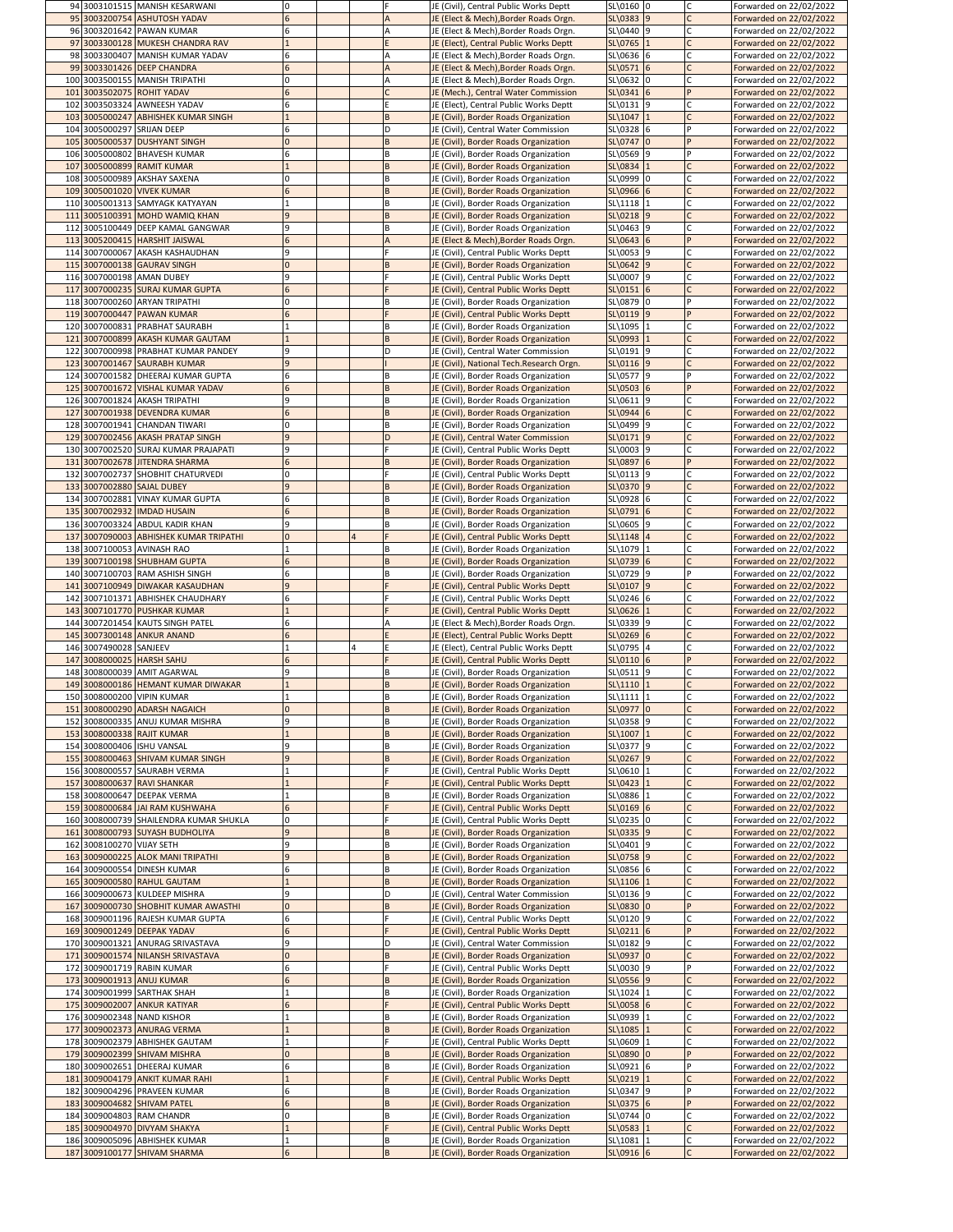|     | 94 3003101515 MANISH KESARWANI                                | 10              |   | JE (Civil), Central Public Works Deptt                                         | SL\0160 0               |  | Forwarded on 22/02/2022                            |
|-----|---------------------------------------------------------------|-----------------|---|--------------------------------------------------------------------------------|-------------------------|--|----------------------------------------------------|
|     | 95 3003200754 ASHUTOSH YADAV                                  | 6               |   | JE (Elect & Mech), Border Roads Orgn.                                          | SL\0383 9               |  | Forwarded on 22/02/2022                            |
|     | 96 3003201642 PAWAN KUMAR                                     | 6               |   | JE (Elect & Mech), Border Roads Orgn.                                          | SL\0440 9               |  | Forwarded on 22/02/2022                            |
|     | 97 3003300128 MUKESH CHANDRA RAV                              |                 |   | JE (Elect), Central Public Works Deptt                                         | SL\0765 1               |  | Forwarded on 22/02/2022                            |
|     | 98 3003300407 MANISH KUMAR YADAV                              | 6               |   | JE (Elect & Mech), Border Roads Orgn.                                          | $SL\$ 0636 6            |  | Forwarded on 22/02/2022                            |
|     | 99 3003301426 DEEP CHANDRA                                    | $6\overline{6}$ |   | JE (Elect & Mech), Border Roads Orgn.                                          | $SL(0571)$ 6            |  | Forwarded on 22/02/2022                            |
|     | 100 3003500155 MANISH TRIPATHI                                | 0               |   | JE (Elect & Mech), Border Roads Orgn.                                          | $SL(0632)$ 0            |  | Forwarded on 22/02/2022                            |
|     | 101 3003502075 ROHIT YADAV                                    | 6               |   | JE (Mech.), Central Water Commission                                           | $SL(0341)$ 6            |  | Forwarded on 22/02/2022                            |
|     | 102 3003503324 AWNEESH YADAV                                  | 6               |   | JE (Elect), Central Public Works Deptt                                         | SL\0131 9               |  | Forwarded on 22/02/2022                            |
|     |                                                               |                 |   |                                                                                |                         |  |                                                    |
|     | 103 3005000247 ABHISHEK KUMAR SINGH                           |                 |   | JE (Civil), Border Roads Organization                                          | $SL(1047)$ 1            |  | Forwarded on 22/02/2022                            |
|     | 104 3005000297 SRIJAN DEEP                                    | 6               |   | JE (Civil), Central Water Commission                                           | $SL(0328)$ 6            |  | Forwarded on 22/02/2022                            |
|     | 105 3005000537 DUSHYANT SINGH                                 | $\Omega$        |   | JE (Civil), Border Roads Organization                                          | $SL(0747)$ 0            |  | Forwarded on 22/02/2022                            |
|     | 106 3005000802 BHAVESH KUMAR                                  | 6               |   | JE (Civil), Border Roads Organization                                          | SL\0569 9               |  | Forwarded on 22/02/2022                            |
|     | 107 3005000899 RAMIT KUMAR                                    |                 |   | JE (Civil), Border Roads Organization                                          | SL\0834 1               |  | Forwarded on 22/02/2022                            |
|     | 108 3005000989 AKSHAY SAXENA                                  | 0               |   | JE (Civil), Border Roads Organization                                          | SL\0999 0               |  | Forwarded on 22/02/2022                            |
|     | 109 3005001020 VIVEK KUMAR                                    | 6               |   | JE (Civil), Border Roads Organization                                          | SL\0966 6               |  | Forwarded on 22/02/2022                            |
|     | 110 3005001313 SAMYAGK KATYAYAN                               |                 |   | JE (Civil), Border Roads Organization                                          | SL\1118 1               |  | Forwarded on 22/02/2022                            |
| 111 | 3005100391 MOHD WAMIQ KHAN                                    | $\mathbf{q}$    |   | JE (Civil), Border Roads Organization                                          | $SL(0218)$ 9            |  | Forwarded on 22/02/2022                            |
|     | 112 3005100449 DEEP KAMAL GANGWAR                             | 9               |   | JE (Civil), Border Roads Organization                                          | SL\0463 9               |  | Forwarded on 22/02/2022                            |
|     | 113 3005200415 HARSHIT JAISWAL                                | 6               |   | JE (Elect & Mech), Border Roads Orgn.                                          | $SL(0643)$ 6            |  | Forwarded on 22/02/2022                            |
|     | 114 3007000067 AKASH KASHAUDHAN                               | q               |   | JE (Civil), Central Public Works Deptt                                         | SL\0053 9               |  | Forwarded on 22/02/2022                            |
|     | 115 3007000138 GAURAV SINGH                                   | 0               |   |                                                                                | $SL(0642)$ 9            |  |                                                    |
|     |                                                               |                 |   | JE (Civil), Border Roads Organization                                          |                         |  | Forwarded on 22/02/2022                            |
|     | 116 3007000198 AMAN DUBEY                                     | 9               |   | JE (Civil), Central Public Works Deptt                                         | SL\0007 9               |  | Forwarded on 22/02/2022                            |
|     | 117 3007000235 SURAJ KUMAR GUPTA                              | 6               |   | JE (Civil), Central Public Works Deptt                                         | $SL(0151)$ 6            |  | Forwarded on 22/02/2022                            |
|     | 118 3007000260 ARYAN TRIPATHI                                 | 0               |   | JE (Civil), Border Roads Organization                                          | SL\0879 0               |  | Forwarded on 22/02/2022                            |
|     | 119 3007000447 PAWAN KUMAR                                    | 6               |   | JE (Civil), Central Public Works Deptt                                         | $SL(0119)$ 9            |  | Forwarded on 22/02/2022                            |
|     | 120 3007000831 PRABHAT SAURABH                                |                 |   | JE (Civil), Border Roads Organization                                          | SL\1095 1               |  | Forwarded on 22/02/2022                            |
|     | 121 3007000899 AKASH KUMAR GAUTAM                             |                 |   | JE (Civil), Border Roads Organization                                          | SL\0993 1               |  | Forwarded on 22/02/2022                            |
|     | 122 3007000998 PRABHAT KUMAR PANDEY                           | 9               |   | JE (Civil), Central Water Commission                                           | SL\0191 9               |  | Forwarded on 22/02/2022                            |
|     | 123 3007001467 SAURABH KUMAR                                  | $\overline{9}$  |   | JE (Civil), National Tech.Research Orgn.                                       | SL(0116)                |  | Forwarded on 22/02/2022                            |
|     | 124 3007001582 DHEERAJ KUMAR GUPTA                            | 6               |   | JE (Civil), Border Roads Organization                                          | SL\0577 9               |  | Forwarded on 22/02/2022                            |
|     | 125 3007001672 VISHAL KUMAR YADAV                             |                 |   | JE (Civil), Border Roads Organization                                          | SL\0503 6               |  | Forwarded on 22/02/2022                            |
|     | 126 3007001824 AKASH TRIPATHI                                 | $\overline{9}$  | B | JE (Civil), Border Roads Organization                                          | SL\0611 9               |  | Forwarded on 22/02/2022                            |
|     | 127 3007001938 DEVENDRA KUMAR                                 | $6\overline{6}$ |   | JE (Civil), Border Roads Organization                                          | SL\0944 6               |  | Forwarded on 22/02/2022                            |
|     | 128 3007001941 CHANDAN TIWARI                                 | 0               |   | JE (Civil), Border Roads Organization                                          | SL\0499 9               |  | Forwarded on 22/02/2022                            |
|     |                                                               |                 |   |                                                                                |                         |  |                                                    |
|     | 129 3007002456 AKASH PRATAP SINGH                             | $\mathbf{q}$    |   | JE (Civil), Central Water Commission                                           | SL(0171)9               |  | Forwarded on 22/02/2022                            |
|     | 130 3007002520 SURAJ KUMAR PRAJAPATI                          | 9               |   | JE (Civil), Central Public Works Deptt                                         | SL\0003 9               |  | Forwarded on 22/02/2022                            |
|     | 131 3007002678 JITENDRA SHARMA                                | $6\overline{6}$ |   | JE (Civil), Border Roads Organization                                          | SL\0897 6               |  | Forwarded on 22/02/2022                            |
|     | 132 3007002737 SHOBHIT CHATURVEDI                             | 10              |   | JE (Civil), Central Public Works Deptt                                         | SL\0113 9               |  | Forwarded on 22/02/2022                            |
|     | 133 3007002880 SAJAL DUBEY                                    | $\mathbf{q}$    |   | JE (Civil), Border Roads Organization                                          | $SL(0370)$ 9            |  | Forwarded on 22/02/2022                            |
|     | 134 3007002881 VINAY KUMAR GUPTA                              | 6               |   | JE (Civil), Border Roads Organization                                          | SL\0928 6               |  | Forwarded on 22/02/2022                            |
|     | 135 3007002932 IMDAD HUSAIN                                   | 6               |   | JE (Civil), Border Roads Organization                                          | $SL(0791)$ 6            |  | Forwarded on 22/02/2022                            |
|     | 136 3007003324 ABDUL KADIR KHAN                               | 9               |   | JE (Civil), Border Roads Organization                                          | SL\0605 9               |  | Forwarded on 22/02/2022                            |
|     | 137 3007090003 ABHISHEK KUMAR TRIPATHI                        | $\overline{0}$  |   | JE (Civil), Central Public Works Deptt                                         | $SL\148$ 4              |  | Forwarded on 22/02/2022                            |
|     | 138 3007100053 AVINASH RAO                                    |                 |   | JE (Civil), Border Roads Organization                                          | SL\1079 1               |  | Forwarded on 22/02/2022                            |
|     |                                                               |                 |   |                                                                                |                         |  |                                                    |
|     | 139 3007100198 SHUBHAM GUPTA                                  | 6               |   | JE (Civil), Border Roads Organization                                          | SL\0739 6               |  | Forwarded on 22/02/2022                            |
|     | 140 3007100703 RAM ASHISH SINGH                               | 6               |   | JE (Civil), Border Roads Organization                                          | SL\0729 9               |  | Forwarded on 22/02/2022                            |
|     |                                                               |                 |   |                                                                                |                         |  |                                                    |
|     | 141 3007100949 DIWAKAR KASAUDHAN                              | $\overline{9}$  |   | JE (Civil), Central Public Works Deptt                                         | SL\0107 9               |  | Forwarded on 22/02/2022                            |
|     | 142 3007101371 ABHISHEK CHAUDHARY                             | 6               |   | JE (Civil), Central Public Works Deptt                                         | $SL(0246)$ 6            |  | Forwarded on 22/02/2022                            |
|     | 143 3007101770 PUSHKAR KUMAR                                  |                 |   | JE (Civil), Central Public Works Deptt                                         | $SL(0626)$ <sup>1</sup> |  | Forwarded on 22/02/2022                            |
|     | 144 3007201454 KAUTS SINGH PATEL                              | 6               |   | JE (Elect & Mech), Border Roads Orgn.                                          | SL\0339 9               |  | Forwarded on 22/02/2022                            |
|     |                                                               | 6               |   |                                                                                |                         |  |                                                    |
|     | 145 3007300148 ANKUR ANAND                                    |                 |   | JE (Elect), Central Public Works Deptt                                         | $SL(0269)$ 6            |  | Forwarded on 22/02/2022                            |
|     | 146 3007490028 SANJEEV                                        |                 |   | JE (Elect), Central Public Works Deptt                                         | SL\0795 4               |  | Forwarded on 22/02/2022                            |
|     | 147 3008000025 HARSH SAHU                                     | 6               |   | JE (Civil), Central Public Works Deptt                                         | $SL(0110)$ 6            |  | Forwarded on 22/02/2022                            |
|     | 148 3008000039 AMIT AGARWAL                                   | q               |   | JE (Civil), Border Roads Organization                                          | SL\0511 9               |  | Forwarded on 22/02/2022                            |
|     | 149 3008000186 HEMANT KUMAR DIWAKAR                           |                 |   | JE (Civil), Border Roads Organization                                          | $SL\1110$ 1             |  | Forwarded on 22/02/2022                            |
|     | 150 3008000200 VIPIN KUMAR                                    |                 |   | JE (Civil), Border Roads Organization                                          | SL\1111 1               |  | Forwarded on 22/02/2022                            |
|     | 151 3008000290 ADARSH NAGAICH                                 | $\Omega$        |   | JE (Civil), Border Roads Organization                                          | SL\0977 0               |  | Forwarded on 22/02/2022                            |
|     | 152 3008000335 ANUJ KUMAR MISHRA                              | 9               |   | JE (Civil), Border Roads Organization                                          | SL\0358 9               |  | Forwarded on 22/02/2022                            |
|     | 153 3008000338 RAJIT KUMAR                                    |                 |   | JE (Civil), Border Roads Organization                                          | $SL\1007$  1            |  | Forwarded on 22/02/2022                            |
|     | 154 3008000406 ISHU VANSAL                                    | q               |   | JE (Civil), Border Roads Organization                                          | SL\0377 9               |  | Forwarded on 22/02/2022                            |
|     | 155 3008000463 SHIVAM KUMAR SINGH                             | $\mathbf{q}$    |   | JE (Civil), Border Roads Organization                                          | $SL(0267)$ 9            |  | Forwarded on 22/02/2022                            |
|     | 156 3008000557 SAURABH VERMA                                  |                 |   | JE (Civil), Central Public Works Deptt                                         | SL\0610 1               |  | Forwarded on 22/02/2022                            |
|     | 157 3008000637 RAVI SHANKAR                                   |                 |   | JE (Civil), Central Public Works Deptt                                         | $SL(0423)$ 1            |  | Forwarded on 22/02/2022                            |
|     | 158 3008000647 DEEPAK VERMA                                   |                 |   | JE (Civil), Border Roads Organization                                          | SL\0886  1              |  | Forwarded on 22/02/2022                            |
|     | 159 3008000684 JAI RAM KUSHWAHA                               | 6               |   |                                                                                | $SL(0169)$ 6            |  |                                                    |
|     |                                                               | 10              |   | JE (Civil), Central Public Works Deptt                                         |                         |  | Forwarded on 22/02/2022                            |
|     | 160 3008000739 SHAILENDRA KUMAR SHUKLA                        | $\mathbf{q}$    |   | JE (Civil), Central Public Works Deptt                                         | SL\0235 0               |  | Forwarded on 22/02/2022                            |
|     | 161 3008000793 SUYASH BUDHOLIYA                               |                 |   | JE (Civil), Border Roads Organization                                          | SL\0335 9               |  | Forwarded on 22/02/2022                            |
|     | 162 3008100270 VIJAY SETH                                     | 9               |   | JE (Civil), Border Roads Organization                                          | SL\0401 9               |  | Forwarded on 22/02/2022                            |
|     | 163 3009000225 ALOK MANI TRIPATHI                             | 9               |   | JE (Civil), Border Roads Organization                                          | $SL(0758)$ 9            |  | Forwarded on 22/02/2022                            |
|     | 164 3009000554 DINESH KUMAR                                   | 6               |   | JE (Civil), Border Roads Organization                                          | SL\0856 6               |  | Forwarded on 22/02/2022                            |
|     | 165 3009000580 RAHUL GAUTAM                                   |                 |   | JE (Civil), Border Roads Organization                                          | SL\1106 1               |  | Forwarded on 22/02/2022                            |
|     | 166 3009000673 KULDEEP MISHRA                                 | q               |   | JE (Civil), Central Water Commission                                           | SL\0136 9               |  | Forwarded on 22/02/2022                            |
|     | 167 3009000730 SHOBHIT KUMAR AWASTHI                          | $\overline{0}$  |   | JE (Civil), Border Roads Organization                                          | SL\0830 0               |  | Forwarded on 22/02/2022                            |
|     | 168 3009001196 RAJESH KUMAR GUPTA                             | 6               |   | JE (Civil), Central Public Works Deptt                                         | $SL(0120)$ 9            |  | Forwarded on 22/02/2022                            |
|     | 169 3009001249 DEEPAK YADAV                                   | 6               |   | JE (Civil), Central Public Works Deptt                                         | $SL(0211)$ 6            |  | Forwarded on 22/02/2022                            |
|     | 170 3009001321 ANURAG SRIVASTAVA                              | q               |   | JE (Civil), Central Water Commission                                           | SL\0182 9               |  | Forwarded on 22/02/2022                            |
|     | 171 3009001574 NILANSH SRIVASTAVA                             |                 |   | JE (Civil), Border Roads Organization                                          | SL\0937 0               |  |                                                    |
|     |                                                               | 6               |   |                                                                                |                         |  | Forwarded on 22/02/2022                            |
|     | 172 3009001719 RABIN KUMAR                                    |                 |   | JE (Civil), Central Public Works Deptt                                         | SL\0030 9               |  | Forwarded on 22/02/2022                            |
|     | 173 3009001913 ANUJ KUMAR                                     | 6               |   | JE (Civil), Border Roads Organization                                          | $SL(0556)$ 9            |  | Forwarded on 22/02/2022                            |
|     | 174 3009001999 SARTHAK SHAH                                   |                 |   | JE (Civil), Border Roads Organization                                          | SL\1024 1               |  | Forwarded on 22/02/2022                            |
|     | 175 3009002007 ANKUR KATIYAR                                  | 6               |   | JE (Civil), Central Public Works Deptt                                         | $SL$ \0058 6            |  | Forwarded on 22/02/2022                            |
|     | 176 3009002348 NAND KISHOR                                    |                 |   | JE (Civil), Border Roads Organization                                          | SL\0939 1               |  | Forwarded on 22/02/2022                            |
|     | 177 3009002373 ANURAG VERMA                                   |                 |   | JE (Civil), Border Roads Organization                                          | SL\1085 1               |  | Forwarded on 22/02/2022                            |
|     | 178 3009002379 ABHISHEK GAUTAM                                |                 |   | JE (Civil), Central Public Works Deptt                                         | SL\0609 1               |  | Forwarded on 22/02/2022                            |
|     | 179 3009002399 SHIVAM MISHRA                                  | $\Omega$        |   | JE (Civil), Border Roads Organization                                          | SL\0890 0               |  | Forwarded on 22/02/2022                            |
|     | 180 3009002651 DHEERAJ KUMAR                                  | 6               |   | JE (Civil), Border Roads Organization                                          | SL\0921 6               |  | Forwarded on 22/02/2022                            |
|     | 181 3009004179 ANKIT KUMAR RAHI                               |                 |   | JE (Civil), Central Public Works Deptt                                         | SL\0219 1               |  | Forwarded on 22/02/2022                            |
|     | 182 3009004296 PRAVEEN KUMAR                                  | 6               |   | JE (Civil), Border Roads Organization                                          | SL\0347 9               |  | Forwarded on 22/02/2022                            |
|     | 183 3009004682 SHIVAM PATEL                                   | 6               |   | JE (Civil), Border Roads Organization                                          | $SL(0375)$ 6            |  |                                                    |
|     |                                                               | 0               |   |                                                                                |                         |  | Forwarded on 22/02/2022                            |
|     | 184 3009004803 RAM CHANDR                                     |                 |   | JE (Civil), Border Roads Organization                                          | SL(0744)                |  | Forwarded on 22/02/2022                            |
|     | 185 3009004970 DIVYAM SHAKYA                                  |                 |   | JE (Civil), Central Public Works Deptt                                         | SL\0583 1               |  | Forwarded on 22/02/2022                            |
|     | 186 3009005096 ABHISHEK KUMAR<br>187 3009100177 SHIVAM SHARMA |                 |   | JE (Civil), Border Roads Organization<br>JE (Civil), Border Roads Organization | SL\1081 1<br>SL\0916 6  |  | Forwarded on 22/02/2022<br>Forwarded on 22/02/2022 |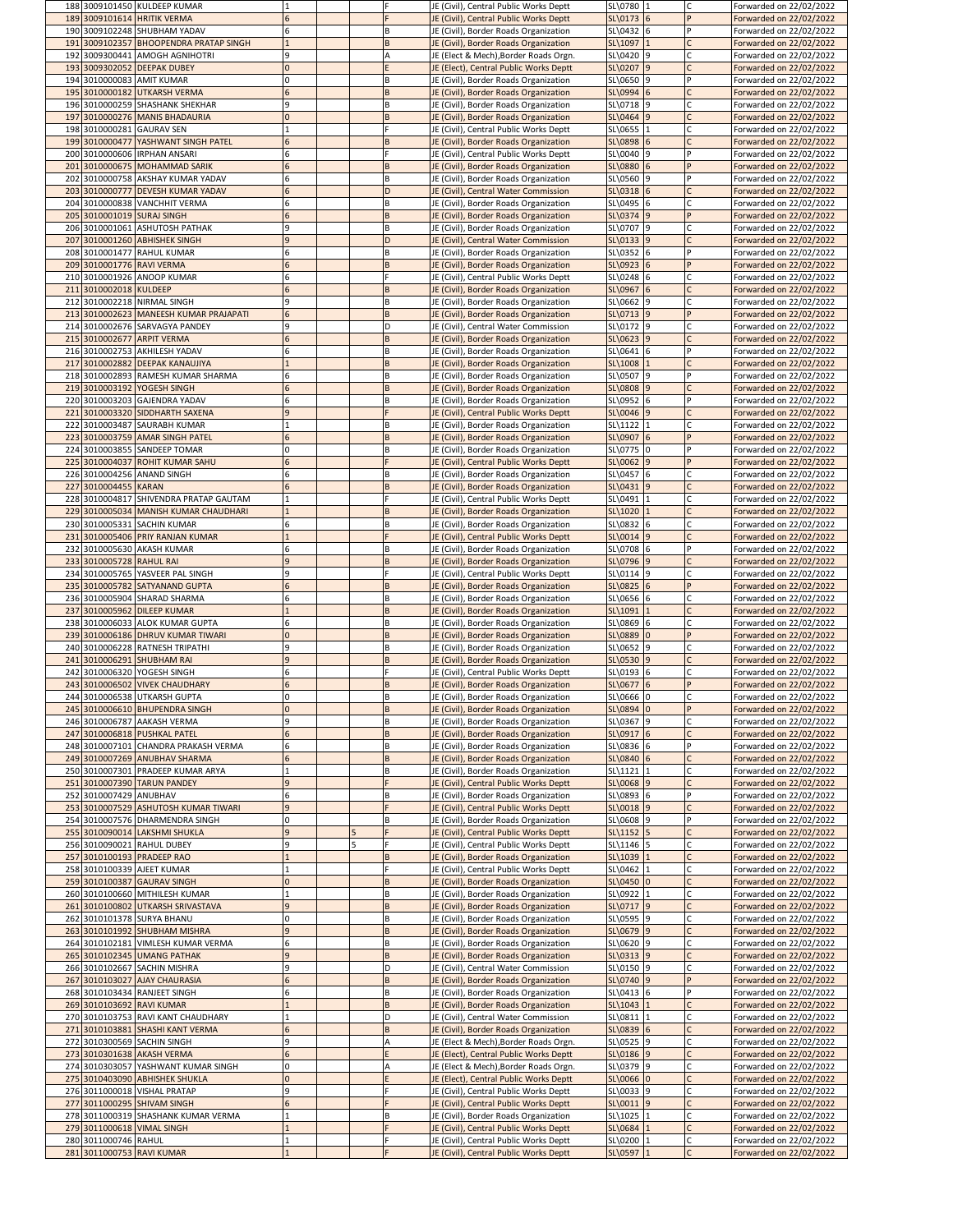|                          | 188 3009101450 KULDEEP KUMAR           |   |          | JE (Civil), Central Public Works Deptt | SL\0780 1      |  | Forwarded on 22/02/2022 |
|--------------------------|----------------------------------------|---|----------|----------------------------------------|----------------|--|-------------------------|
|                          | 189 3009101614 HRITIK VERMA            |   |          | JE (Civil), Central Public Works Deptt | $SL\$ 0173 6   |  | Forwarded on 22/02/2022 |
|                          | 190 3009102248 SHUBHAM YADAV           |   | B        | JE (Civil), Border Roads Organization  | SL\0432 6      |  | Forwarded on 22/02/2022 |
|                          | 191 3009102357 BHOOPENDRA PRATAP SINGH |   | B        | JE (Civil), Border Roads Organization  | SL\1097  1     |  | Forwarded on 22/02/2022 |
|                          | 192 3009300441 AMOGH AGNIHOTRI         |   |          | JE (Elect & Mech), Border Roads Orgn.  | SL\0420 9      |  | Forwarded on 22/02/2022 |
|                          | 193 3009302052 DEEPAK DUBEY            |   |          | JE (Elect), Central Public Works Deptt | SL\0207 9      |  | Forwarded on 22/02/2022 |
|                          | 194 3010000083 AMIT KUMAR              |   | B        | JE (Civil), Border Roads Organization  | SL\0650 9      |  | Forwarded on 22/02/2022 |
|                          | 195 3010000182 UTKARSH VERMA           |   | B        | JE (Civil), Border Roads Organization  | SL(0994)6      |  | Forwarded on 22/02/2022 |
|                          | 196 3010000259 SHASHANK SHEKHAR        |   | <b>B</b> | JE (Civil), Border Roads Organization  | SL\0718 9      |  | Forwarded on 22/02/2022 |
|                          | 197 3010000276 MANIS BHADAURIA         |   | B        | JE (Civil), Border Roads Organization  | SL(0464)       |  | Forwarded on 22/02/2022 |
|                          | 198 3010000281 GAURAV SEN              |   |          | JE (Civil), Central Public Works Deptt | SL\0655  1     |  | Forwarded on 22/02/2022 |
|                          | 199 3010000477 YASHWANT SINGH PATEL    |   | B        | JE (Civil), Border Roads Organization  | SL\0898 6      |  | Forwarded on 22/02/2022 |
|                          | 200 3010000606 IRPHAN ANSARI           |   |          | JE (Civil), Central Public Works Deptt | SL\0040 9      |  | Forwarded on 22/02/2022 |
|                          | 201 3010000675 MOHAMMAD SARIK          |   | B        | JE (Civil), Border Roads Organization  | SL\0880 6      |  | Forwarded on 22/02/2022 |
|                          | 202 3010000758 AKSHAY KUMAR YADAV      |   | B        | JE (Civil), Border Roads Organization  | SL\0560 9      |  | Forwarded on 22/02/2022 |
|                          | 203 3010000777 DEVESH KUMAR YADAV      |   | ID.      | JE (Civil), Central Water Commission   | $SL(0318)$ 6   |  | Forwarded on 22/02/2022 |
|                          | 204 3010000838 VANCHHIT VERMA          |   | B        | JE (Civil), Border Roads Organization  | SL\0495 6      |  | Forwarded on 22/02/2022 |
|                          | 205 3010001019 SURAJ SINGH             |   | B        | JE (Civil), Border Roads Organization  | SL(0374)9      |  | Forwarded on 22/02/2022 |
|                          | 206 3010001061 ASHUTOSH PATHAK         |   | <b>B</b> | JE (Civil), Border Roads Organization  | SL\0707 9      |  | Forwarded on 22/02/2022 |
|                          | 207 3010001260 ABHISHEK SINGH          |   | D        | JE (Civil), Central Water Commission   | $SL(0133)$ 9   |  | Forwarded on 22/02/2022 |
|                          | 208 3010001477 RAHUL KUMAR             |   | <b>B</b> | JE (Civil), Border Roads Organization  | SL\0352 6      |  | Forwarded on 22/02/2022 |
|                          | 209 3010001776 RAVI VERMA              |   | B        | JE (Civil), Border Roads Organization  | $SL(0923)$ 6   |  | Forwarded on 22/02/2022 |
|                          | 210 3010001926 ANOOP KUMAR             |   |          | JE (Civil), Central Public Works Deptt | SL\0248 6      |  | Forwarded on 22/02/2022 |
| 211 3010002018 KULDEEP   |                                        |   | B        | JE (Civil), Border Roads Organization  | $SL(0967)$ 6   |  | Forwarded on 22/02/2022 |
|                          | 212 3010002218 NIRMAL SINGH            |   | B        | JE (Civil), Border Roads Organization  | SL\0662 9      |  | Forwarded on 22/02/2022 |
|                          | 213 3010002623 MANEESH KUMAR PRAJAPATI |   | B        | JE (Civil), Border Roads Organization  | $SL(0713)$ 9   |  | Forwarded on 22/02/2022 |
|                          | 214 3010002676 SARVAGYA PANDEY         |   | D        | JE (Civil), Central Water Commission   | SL\0172 9      |  | Forwarded on 22/02/2022 |
|                          | 215 3010002677 ARPIT VERMA             |   | B        | JE (Civil), Border Roads Organization  | $SL(0623)$ 9   |  | Forwarded on 22/02/2022 |
|                          | 216 3010002753 AKHILESH YADAV          |   | <b>B</b> | JE (Civil), Border Roads Organization  | $SL\$ 0641 6   |  | Forwarded on 22/02/2022 |
|                          | 217 3010002882 DEEPAK KANAUJIYA        |   | B        | JE (Civil), Border Roads Organization  | SL\1008        |  | Forwarded on 22/02/2022 |
|                          | 218 3010002893 RAMESH KUMAR SHARMA     |   | ΙB       | JE (Civil), Border Roads Organization  | SL\0507 9      |  | Forwarded on 22/02/2022 |
|                          | 219 3010003192 YOGESH SINGH            |   | ΙB       | JE (Civil), Border Roads Organization  | SL\0808 9      |  | Forwarded on 22/02/2022 |
|                          | 220 3010003203 GAJENDRA YADAV          |   | l B      | JE (Civil), Border Roads Organization  | SL\0952 6      |  | Forwarded on 22/02/2022 |
|                          | 221 3010003320 SIDDHARTH SAXENA        |   |          |                                        | SL\0046 9      |  | Forwarded on 22/02/2022 |
|                          |                                        |   |          | JE (Civil), Central Public Works Deptt |                |  |                         |
|                          | 222 3010003487 SAURABH KUMAR           |   | B        | JE (Civil), Border Roads Organization  | SL\1122  1     |  | Forwarded on 22/02/2022 |
|                          | 223 3010003759 AMAR SINGH PATEL        |   | <b>B</b> | JE (Civil), Border Roads Organization  | SL\0907 6      |  | Forwarded on 22/02/2022 |
|                          | 224 3010003855 SANDEEP TOMAR           |   | B        | JE (Civil), Border Roads Organization  | SL\0775 0      |  | Forwarded on 22/02/2022 |
|                          | 225 3010004037 ROHIT KUMAR SAHU        |   |          | JE (Civil), Central Public Works Deptt | $SL(0062)$ 9   |  | Forwarded on 22/02/2022 |
|                          | 226 3010004256 ANAND SINGH             |   | ΙB       | JE (Civil), Border Roads Organization  | SL\0457 6      |  | Forwarded on 22/02/2022 |
| 227 3010004455 KARAN     |                                        |   |          | JE (Civil), Border Roads Organization  | $SL(0431)$ 9   |  | Forwarded on 22/02/2022 |
|                          | 228 3010004817 SHIVENDRA PRATAP GAUTAM |   |          | JE (Civil), Central Public Works Deptt | SL\0491        |  | Forwarded on 22/02/2022 |
|                          | 229 3010005034 MANISH KUMAR CHAUDHARI  |   | B        | JE (Civil), Border Roads Organization  | SL\1020        |  | Forwarded on 22/02/2022 |
|                          | 230 3010005331 SACHIN KUMAR            |   | B        | JE (Civil), Border Roads Organization  | SL\0832 6      |  | Forwarded on 22/02/2022 |
|                          | 231 3010005406 PRIY RANJAN KUMAR       |   |          | JE (Civil), Central Public Works Deptt | $SL \ 0014$  9 |  | Forwarded on 22/02/2022 |
|                          | 232 3010005630 AKASH KUMAR             |   | B        | JE (Civil), Border Roads Organization  | SL\0708 6      |  | Forwarded on 22/02/2022 |
| 233 3010005728 RAHUL RAI |                                        |   | ΙB.      | JE (Civil), Border Roads Organization  | SL\0796 9      |  | Forwarded on 22/02/2022 |
|                          |                                        |   |          |                                        |                |  |                         |
|                          | 234 3010005765 YASVEER PAL SINGH       |   |          | JE (Civil), Central Public Works Deptt | $SL\$ 0114 9   |  | Forwarded on 22/02/2022 |
|                          | 235 3010005782 SATYANAND GUPTA         |   | B        | JE (Civil), Border Roads Organization  | $SL(0825)$ 6   |  | Forwarded on 22/02/2022 |
|                          | 236 3010005904 SHARAD SHARMA           |   | ΙB       | JE (Civil), Border Roads Organization  | SL\0656 6      |  | Forwarded on 22/02/2022 |
|                          | 237 3010005962 DILEEP KUMAR            |   | B        | JE (Civil), Border Roads Organization  | SL\1091        |  | Forwarded on 22/02/2022 |
|                          | 238 3010006033 ALOK KUMAR GUPTA        |   | ΙB       | JE (Civil), Border Roads Organization  | SL\0869 6      |  | Forwarded on 22/02/2022 |
|                          | 239 3010006186 DHRUV KUMAR TIWARI      |   | B        | JE (Civil), Border Roads Organization  | SL\0889 0      |  | Forwarded on 22/02/2022 |
|                          | 240 3010006228 RATNESH TRIPATHI        |   | B        | JE (Civil), Border Roads Organization  | SL\0652 9      |  | Forwarded on 22/02/2022 |
|                          |                                        |   | B        |                                        |                |  |                         |
|                          | 241 3010006291 SHUBHAM RAI             |   |          | JE (Civil), Border Roads Organization  | SL\0530 9      |  | Forwarded on 22/02/2022 |
|                          | 242 3010006320 YOGESH SINGH            |   | ΙB.      | JE (Civil), Central Public Works Deptt | SL\0193 6      |  | Forwarded on 22/02/2022 |
|                          | 243 3010006502 VIVEK CHAUDHARY         |   |          | JE (Civil), Border Roads Organization  | $SL\$ 0677 6   |  | Forwarded on 22/02/2022 |
|                          | 244 3010006538 UTKARSH GUPTA           |   | ΙB       | JE (Civil), Border Roads Organization  | SL\0666 0      |  | Forwarded on 22/02/2022 |
|                          | 245 3010006610 BHUPENDRA SINGH         |   | B        | JE (Civil), Border Roads Organization  | SL\0894 0      |  | Forwarded on 22/02/2022 |
|                          | 246 3010006787 AAKASH VERMA            |   | l B      | JE (Civil), Border Roads Organization  | SL\0367 9      |  | Forwarded on 22/02/2022 |
|                          | 247 3010006818 PUSHKAL PATEL           |   | B.<br>ΙB | JE (Civil), Border Roads Organization  | $SL(0917)$ 6   |  | Forwarded on 22/02/2022 |
|                          | 248 3010007101 CHANDRA PRAKASH VERMA   |   |          | JE (Civil), Border Roads Organization  | SL\0836 6      |  | Forwarded on 22/02/2022 |
|                          | 249 3010007269 ANUBHAV SHARMA          |   | B        | JE (Civil), Border Roads Organization  | SL\0840 6      |  | Forwarded on 22/02/2022 |
|                          | 250 3010007301 PRADEEP KUMAR ARYA      |   |          | JE (Civil), Border Roads Organization  | SL\1121 1      |  | Forwarded on 22/02/2022 |
|                          | 251 3010007390 TARUN PANDEY            |   |          | JE (Civil), Central Public Works Deptt | SL\0068 9      |  | Forwarded on 22/02/2022 |
| 252 3010007429 ANUBHAV   |                                        | 6 | B        | JE (Civil), Border Roads Organization  | SL\0893 6      |  | Forwarded on 22/02/2022 |
|                          | 253 3010007529 ASHUTOSH KUMAR TIWARI   |   |          | JE (Civil), Central Public Works Deptt | $SL \ 0018$ 9  |  | Forwarded on 22/02/2022 |
|                          | 254 3010007576 DHARMENDRA SINGH        |   | ΙB       | JE (Civil), Border Roads Organization  | SL\0608 9      |  | Forwarded on 22/02/2022 |
|                          | 255 3010090014 LAKSHMI SHUKLA          |   |          | JE (Civil), Central Public Works Deptt | $SL(1152)$ 5   |  | Forwarded on 22/02/2022 |
|                          | 256 3010090021 RAHUL DUBEY             |   |          | JE (Civil), Central Public Works Deptt | SL\1146 5      |  | Forwarded on 22/02/2022 |
|                          | 257 3010100193 PRADEEP RAO             |   |          | JE (Civil), Border Roads Organization  | SL\1039 1      |  | Forwarded on 22/02/2022 |
|                          | 258 3010100339 AJEET KUMAR             |   |          | JE (Civil), Central Public Works Deptt | SL\0462 1      |  | Forwarded on 22/02/2022 |
|                          | 259 3010100387 GAURAV SINGH            |   | B        | JE (Civil), Border Roads Organization  | SL\0450 0      |  | Forwarded on 22/02/2022 |
|                          | 260 3010100660 MITHILESH KUMAR         |   | <b>B</b> | JE (Civil), Border Roads Organization  | SL\0922 1      |  | Forwarded on 22/02/2022 |
|                          | 261 3010100802 UTKARSH SRIVASTAVA      |   | B        | JE (Civil), Border Roads Organization  | $SL(0717)$ 9   |  | Forwarded on 22/02/2022 |
|                          | 262 3010101378 SURYA BHANU             |   | B        | JE (Civil), Border Roads Organization  | SL\0595 9      |  | Forwarded on 22/02/2022 |
|                          | 263 3010101992 SHUBHAM MISHRA          |   | B        | JE (Civil), Border Roads Organization  | $SL(0679)$ 9   |  | Forwarded on 22/02/2022 |
|                          | 264 3010102181 VIMLESH KUMAR VERMA     |   | ΙB       | JE (Civil), Border Roads Organization  | SL\0620 9      |  | Forwarded on 22/02/2022 |
|                          | 265 3010102345 UMANG PATHAK            |   | B        | JE (Civil), Border Roads Organization  | $SL(0313)$ 9   |  | Forwarded on 22/02/2022 |
|                          | 266 3010102667 SACHIN MISHRA           |   | D        | JE (Civil), Central Water Commission   | SL\0150 9      |  | Forwarded on 22/02/2022 |
|                          | 267 3010103027 AJAY CHAURASIA          |   | B        | JE (Civil), Border Roads Organization  | SL\0740 9      |  | Forwarded on 22/02/2022 |
|                          | 268 3010103434 RANJEET SINGH           |   | <b>B</b> | JE (Civil), Border Roads Organization  | $SL\$ 0413 6   |  | Forwarded on 22/02/2022 |
|                          | 269 3010103692 RAVI KUMAR              |   | B        | JE (Civil), Border Roads Organization  | SL\1043        |  | Forwarded on 22/02/2022 |
|                          | 270 3010103753 RAVI KANT CHAUDHARY     |   | D        | JE (Civil), Central Water Commission   | SL\0811        |  | Forwarded on 22/02/2022 |
|                          | 271 3010103881 SHASHI KANT VERMA       |   | B        | JE (Civil), Border Roads Organization  | $SL(0839)$ 6   |  | Forwarded on 22/02/2022 |
|                          | 272 3010300569 SACHIN SINGH            |   |          | JE (Elect & Mech), Border Roads Orgn.  | SL\0525 9      |  | Forwarded on 22/02/2022 |
|                          | 273 3010301638 AKASH VERMA             |   |          | JE (Elect), Central Public Works Deptt | SL\0186 9      |  | Forwarded on 22/02/2022 |
|                          | 274 3010303057 YASHWANT KUMAR SINGH    |   |          | JE (Elect & Mech), Border Roads Orgn.  | SL\0379 9      |  | Forwarded on 22/02/2022 |
|                          | 275 3010403090 ABHISHEK SHUKLA         |   |          | JE (Elect), Central Public Works Deptt | SL\0066 0      |  | Forwarded on 22/02/2022 |
|                          | 276 3011000018 VISHAL PRATAP           |   |          | JE (Civil), Central Public Works Deptt | SL\0033 9      |  | Forwarded on 22/02/2022 |
|                          | 277 3011000295 SHIVAM SINGH            |   |          | JE (Civil), Central Public Works Deptt | $SL(0011)$ 9   |  | Forwarded on 22/02/2022 |
|                          | 278 3011000319 SHASHANK KUMAR VERMA    |   | ΙB       | JE (Civil), Border Roads Organization  | SL\1025  1     |  | Forwarded on 22/02/2022 |
|                          | 279 3011000618 VIMAL SINGH             |   |          | JE (Civil), Central Public Works Deptt | SL\0684        |  | Forwarded on 22/02/2022 |
| 280 3011000746 RAHUL     |                                        |   |          | JE (Civil), Central Public Works Deptt | SL\0200        |  | Forwarded on 22/02/2022 |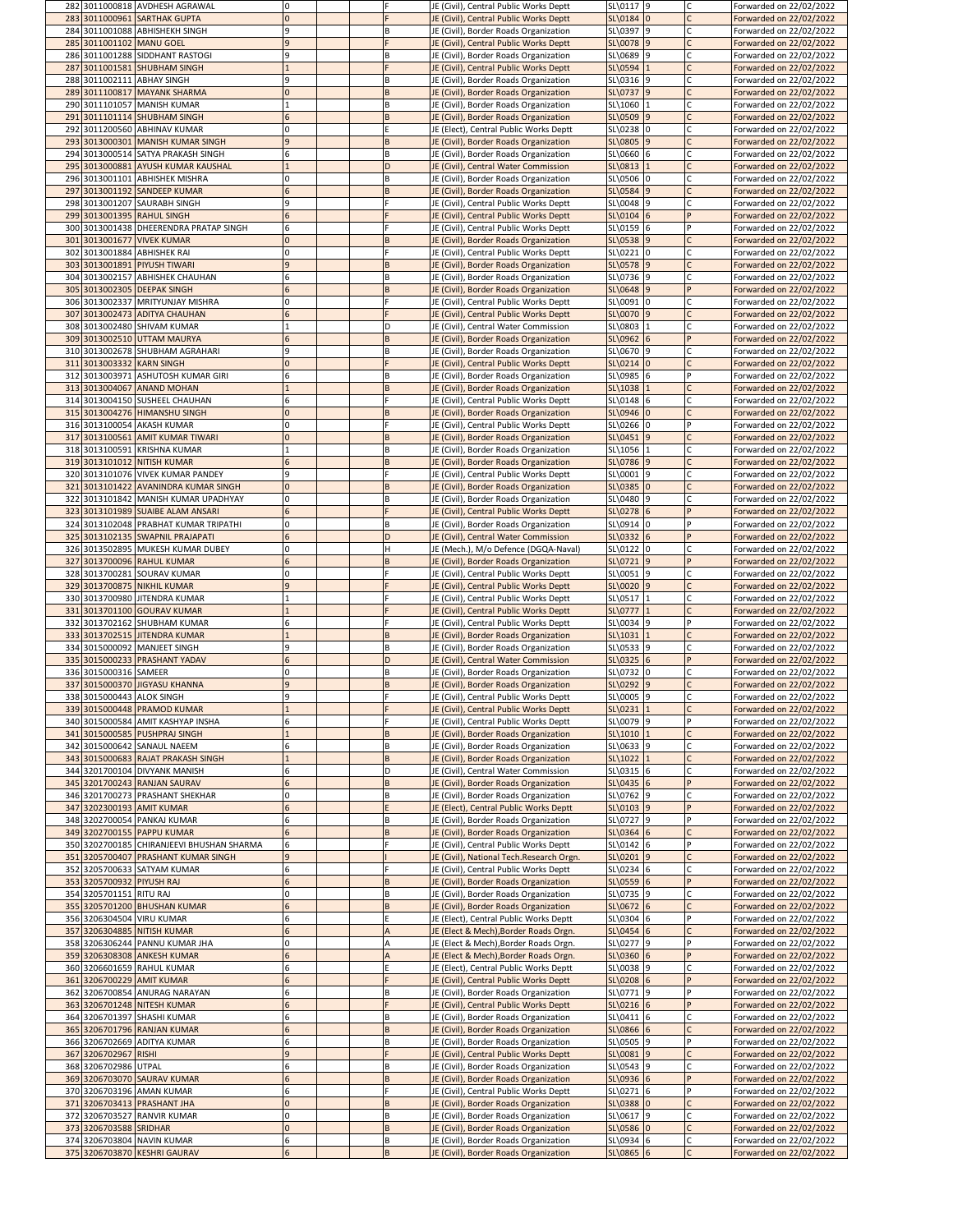| 282 3011000818 AVDHESH AGRAWAL                                | 10             |  | JE (Civil), Central Public Works Deptt                                         | SL\0117 9               | Forwarded on 22/02/2022                            |
|---------------------------------------------------------------|----------------|--|--------------------------------------------------------------------------------|-------------------------|----------------------------------------------------|
| 283 3011000961 SARTHAK GUPTA                                  | $\Omega$       |  | JE (Civil), Central Public Works Deptt                                         | $SL\$ 0184 0            | Forwarded on 22/02/2022                            |
| 284 3011001088 ABHISHEKH SINGH                                | q              |  | JE (Civil), Border Roads Organization                                          | SL\0397 9               | Forwarded on 22/02/2022                            |
| 285 3011001102 MANU GOEL                                      | q              |  | JE (Civil), Central Public Works Deptt                                         | SL\0078 9               | Forwarded on 22/02/2022                            |
| 286 3011001288 SIDDHANT RASTOGI                               | q              |  | JE (Civil), Border Roads Organization                                          | SL\0689 9               | Forwarded on 22/02/2022                            |
| 287 3011001581 SHUBHAM SINGH                                  |                |  | JE (Civil), Central Public Works Deptt                                         | SL\0594 1               | Forwarded on 22/02/2022                            |
|                                                               |                |  |                                                                                |                         |                                                    |
| 288 3011002111 ABHAY SINGH                                    | q              |  | JE (Civil), Border Roads Organization                                          | $SL(0316)$ 9            | Forwarded on 22/02/2022                            |
| 289 3011100817 MAYANK SHARMA                                  | $\overline{0}$ |  | JE (Civil), Border Roads Organization                                          | $SL(0737)$ 9            | Forwarded on 22/02/2022                            |
| 290 3011101057 MANISH KUMAR                                   |                |  | JE (Civil), Border Roads Organization                                          | SL\1060 1               | Forwarded on 22/02/2022                            |
| 291 3011101114 SHUBHAM SINGH                                  | 6              |  | JE (Civil), Border Roads Organization                                          | $SL(0509)$ 9            | Forwarded on 22/02/2022                            |
| 292 3011200560 ABHINAV KUMAR                                  | $\mathbf{0}$   |  | JE (Elect), Central Public Works Deptt                                         | SL\0238 0               | Forwarded on 22/02/2022                            |
| 293 3013000301 MANISH KUMAR SINGH                             |                |  | JE (Civil), Border Roads Organization                                          | SL\0805 9               | Forwarded on 22/02/2022                            |
| 294 3013000514 SATYA PRAKASH SINGH                            | 6              |  | JE (Civil), Border Roads Organization                                          | $SL(0660)$ 6            | Forwarded on 22/02/2022                            |
| 295 3013000881 AYUSH KUMAR KAUSHAL                            |                |  | JE (Civil), Central Water Commission                                           | SL\0813 1               | Forwarded on 22/02/2022                            |
| 296 3013001101 ABHISHEK MISHRA                                | 0              |  | JE (Civil), Border Roads Organization                                          | SL\0506 0               | Forwarded on 22/02/2022                            |
| 297 3013001192 SANDEEP KUMAR                                  | 6              |  | JE (Civil), Border Roads Organization                                          | SL(0584)9               | Forwarded on 22/02/2022                            |
| 298 3013001207 SAURABH SINGH                                  | q              |  | JE (Civil), Central Public Works Deptt                                         | SL\0048 9               | Forwarded on 22/02/2022                            |
|                                                               |                |  |                                                                                |                         |                                                    |
| 299 3013001395 RAHUL SINGH                                    | 6              |  | JE (Civil), Central Public Works Deptt                                         | $SL\$ 0104 6            | Forwarded on 22/02/2022                            |
| 300 3013001438 DHEERENDRA PRATAP SINGH                        | 6              |  | JE (Civil), Central Public Works Deptt                                         | SL\0159 6               | Forwarded on 22/02/2022                            |
| 301 3013001677 VIVEK KUMAR                                    | $\Omega$       |  | JE (Civil), Border Roads Organization                                          | $SL(0538)$ 9            | Forwarded on 22/02/2022                            |
| 302 3013001884 ABHISHEK RAI                                   | 0              |  | JE (Civil), Central Public Works Deptt                                         | $SL(0221)$ <sup>0</sup> | Forwarded on 22/02/2022                            |
| 303 3013001891 PIYUSH TIWARI                                  | $\mathbf{q}$   |  | JE (Civil), Border Roads Organization                                          | $SL(0578)$ 9            | Forwarded on 22/02/2022                            |
| 304 3013002157 ABHISHEK CHAUHAN                               | 6              |  | JE (Civil), Border Roads Organization                                          | SL\0736 9               | Forwarded on 22/02/2022                            |
| 305 3013002305 DEEPAK SINGH                                   | 6              |  | JE (Civil), Border Roads Organization                                          | $SL\$ 0648 9            | Forwarded on 22/02/2022                            |
| 306 3013002337 MRITYUNJAY MISHRA                              | 0              |  | JE (Civil), Central Public Works Deptt                                         | SL\0091 0               | Forwarded on 22/02/2022                            |
| 307 3013002473 ADITYA CHAUHAN                                 | 6              |  | JE (Civil), Central Public Works Deptt                                         | SL\0070 9               | Forwarded on 22/02/2022                            |
| 308 3013002480 SHIVAM KUMAR                                   |                |  | JE (Civil), Central Water Commission                                           | SL\0803 1               | Forwarded on 22/02/2022                            |
| 309 3013002510 UTTAM MAURYA                                   | 6              |  | JE (Civil), Border Roads Organization                                          | $SL(0962)$ 6            | Forwarded on 22/02/2022                            |
| 310 3013002678 SHUBHAM AGRAHARI                               | 9              |  | JE (Civil), Border Roads Organization                                          | SL\0670 9               | Forwarded on 22/02/2022                            |
| 311 3013003332 KARN SINGH                                     | 0              |  | JE (Civil), Central Public Works Deptt                                         | $SL(0214)$ <sup>0</sup> | Forwarded on 22/02/2022                            |
| 312 3013003971 ASHUTOSH KUMAR GIRI                            | 6              |  | JE (Civil), Border Roads Organization                                          | SL\0985 6               | Forwarded on 22/02/2022                            |
| 313 3013004067 ANAND MOHAN                                    |                |  | JE (Civil), Border Roads Organization                                          | $SL\1038$ 1             | Forwarded on 22/02/2022                            |
| 314 3013004150 SUSHEEL CHAUHAN                                | 6              |  | JE (Civil), Central Public Works Deptt                                         | $SL\$ 0148 6            | Forwarded on 22/02/2022                            |
|                                                               |                |  |                                                                                |                         |                                                    |
| 315 3013004276 HIMANSHU SINGH                                 | 0              |  | JE (Civil), Border Roads Organization                                          | SL\0946 0               | Forwarded on 22/02/2022                            |
| 316 3013100054 AKASH KUMAR                                    | 0              |  | JE (Civil), Central Public Works Deptt                                         | $SL(0266)$ <sup>0</sup> | Forwarded on 22/02/2022                            |
| 317 3013100561 AMIT KUMAR TIWARI                              | $\overline{0}$ |  | JE (Civil), Border Roads Organization                                          | $SL(0451)$ 9            | Forwarded on 22/02/2022                            |
| 318 3013100591 KRISHNA KUMAR                                  |                |  | JE (Civil), Border Roads Organization                                          | SL\1056 1               | Forwarded on 22/02/2022                            |
| 319 3013101012 NITISH KUMAR                                   | 6              |  | JE (Civil), Border Roads Organization                                          | SL\0786 9               | Forwarded on 22/02/2022                            |
| 320 3013101076 VIVEK KUMAR PANDEY                             | 9              |  | JE (Civil), Central Public Works Deptt                                         | SL\0001 9               | Forwarded on 22/02/2022                            |
| 321 3013101422 AVANINDRA KUMAR SINGH                          | 10             |  | JE (Civil), Border Roads Organization                                          | $SL(0385)$ 0            | Forwarded on 22/02/2022                            |
| 322 3013101842 MANISH KUMAR UPADHYAY                          | 0              |  | JE (Civil), Border Roads Organization                                          | SL\0480 9               | Forwarded on 22/02/2022                            |
| 323 3013101989 SUAIBE ALAM ANSARI                             | 6              |  | JE (Civil), Central Public Works Deptt                                         | $SL(0278)$ 6            | Forwarded on 22/02/2022                            |
| 324 3013102048 PRABHAT KUMAR TRIPATHI                         | 0              |  | JE (Civil), Border Roads Organization                                          | $SL\$ 0914 0            | Forwarded on 22/02/2022                            |
| 325 3013102135 SWAPNIL PRAJAPATI                              | 6              |  | JE (Civil), Central Water Commission                                           | $SL(0332)$ 6            | Forwarded on 22/02/2022                            |
| 326 3013502895 MUKESH KUMAR DUBEY                             | 0              |  | JE (Mech.), M/o Defence (DGQA-Naval)                                           | $SL\$ 0122 0            | Forwarded on 22/02/2022                            |
| 327 3013700096 RAHUL KUMAR                                    | 6              |  | JE (Civil), Border Roads Organization                                          | SL\0721 9               | Forwarded on 22/02/2022                            |
| 328 3013700281 SOURAV KUMAR                                   | 0              |  | JE (Civil), Central Public Works Deptt                                         | $SL\$ 0051 9            | Forwarded on 22/02/2022                            |
| 329 3013700875 NIKHIL KUMAR                                   | $\mathbf{q}$   |  | JE (Civil), Central Public Works Deptt                                         | $SL(0020)$ 9            | Forwarded on 22/02/2022                            |
| 330 3013700980 JJITENDRA KUMAR                                |                |  | JE (Civil), Central Public Works Deptt                                         | $SL(0517)$ 1            | Forwarded on 22/02/2022                            |
| 331 3013701100 GOURAV KUMAR                                   |                |  | JE (Civil), Central Public Works Deptt                                         | $SL(0777)$ 1            | Forwarded on 22/02/2022                            |
|                                                               |                |  |                                                                                |                         |                                                    |
|                                                               |                |  |                                                                                |                         |                                                    |
| 332 3013702162 SHUBHAM KUMAR                                  | 6              |  | JE (Civil), Central Public Works Deptt                                         | $SL\$ 0034 9            | Forwarded on 22/02/2022                            |
| 333 3013702515 JITENDRA KUMAR                                 |                |  | JE (Civil), Border Roads Organization                                          | $SL\1031$  1            | Forwarded on 22/02/2022                            |
| 334 3015000092 MANJEET SINGH                                  | 9              |  | JE (Civil), Border Roads Organization                                          | $SL\$ 0533 9            | Forwarded on 22/02/2022                            |
| 335 3015000233 PRASHANT YADAV                                 | 6              |  | JE (Civil), Central Water Commission                                           | $SL(0325)$ 6            | Forwarded on 22/02/2022                            |
| 336 3015000316 SAMEER                                         | 0              |  | JE (Civil), Border Roads Organization                                          | SL\0732 0               | Forwarded on 22/02/2022                            |
| 337 3015000370 JIGYASU KHANNA                                 | $\mathbf{q}$   |  | JE (Civil), Border Roads Organization                                          | SL(0292   9)            | Forwarded on 22/02/2022                            |
| 338 3015000443 ALOK SINGH                                     | q              |  | JE (Civil), Central Public Works Deptt                                         | SL\0005 9               | Forwarded on 22/02/2022                            |
| 339 3015000448 PRAMOD KUMAR                                   |                |  | JE (Civil), Central Public Works Deptt                                         | SL(0231)1               | Forwarded on 22/02/2022                            |
| 340 3015000584 AMIT KASHYAP INSHA                             | 6              |  | JE (Civil), Central Public Works Deptt                                         | SL\0079 9               | Forwarded on 22/02/2022                            |
| 341 3015000585 PUSHPRAJ SINGH                                 |                |  | JE (Civil), Border Roads Organization                                          | $SL(1010)$ <sup>1</sup> | Forwarded on 22/02/2022                            |
| 342 3015000642 SANAUL NAEEM                                   | 6              |  | JE (Civil), Border Roads Organization                                          | $SL\$ 0633 9            | Forwarded on 22/02/2022                            |
| 343 3015000683 RAJAT PRAKASH SINGH                            |                |  | JE (Civil), Border Roads Organization                                          | $SL\1022$ 1             | Forwarded on 22/02/2022                            |
|                                                               |                |  |                                                                                |                         |                                                    |
| 344 3201700104 DIVYANK MANISH<br>345 3201700243 RANJAN SAURAV | 6              |  | JE (Civil), Central Water Commission                                           | SL\0315 6               | Forwarded on 22/02/2022                            |
|                                                               |                |  | JE (Civil), Border Roads Organization                                          | SL\0435 6               | Forwarded on 22/02/2022                            |
| 346 3201700273 PRASHANT SHEKHAR                               |                |  | JE (Civil), Border Roads Organization                                          | SL\0762 9               | Forwarded on 22/02/2022                            |
| 347 3202300193 AMIT KUMAR                                     | 6              |  | JE (Elect), Central Public Works Deptt                                         | SL\0103 9               | Forwarded on 22/02/2022                            |
| 348 3202700054 PANKAJ KUMAR                                   | 6              |  | JE (Civil), Border Roads Organization                                          | SL\0727 9               | Forwarded on 22/02/2022                            |
| 349 3202700155 PAPPU KUMAR                                    |                |  | JE (Civil), Border Roads Organization                                          | $SL(0364)$ 6            | Forwarded on 22/02/2022                            |
| 350 3202700185 CHIRANJEEVI BHUSHAN SHARMA                     | 6              |  | JE (Civil), Central Public Works Deptt                                         | $SL\$ 0142 6            | Forwarded on 22/02/2022                            |
| 351 3205700407 PRASHANT KUMAR SINGH                           |                |  | JE (Civil), National Tech.Research Orgn.                                       | SL\0201 9               | Forwarded on 22/02/2022                            |
| 352 3205700633 SATYAM KUMAR                                   | 6              |  | JE (Civil), Central Public Works Deptt                                         | $SL\$ 0234 6            | Forwarded on 22/02/2022                            |
| 353 3205700932 PIYUSH RAJ                                     | 6              |  | JE (Civil), Border Roads Organization                                          | $SL(0559)$ 6            | Forwarded on 22/02/2022                            |
| 354 3205701151 RITU RAJ                                       |                |  | JE (Civil), Border Roads Organization                                          | SL\0735 9               | Forwarded on 22/02/2022                            |
| 355 3205701200 BHUSHAN KUMAR                                  | 6              |  | JE (Civil), Border Roads Organization                                          | $SL(0672)$ 6            | Forwarded on 22/02/2022                            |
| 356 3206304504 VIRU KUMAR                                     | 6              |  | JE (Elect), Central Public Works Deptt                                         | $SL\$ 0304 6            | Forwarded on 22/02/2022                            |
| 357 3206304885 NITISH KUMAR                                   | 6              |  | JE (Elect & Mech), Border Roads Orgn.                                          | $SL\$ 0454 6            | Forwarded on 22/02/2022                            |
| 358 3206306244 PANNU KUMAR JHA                                | 0              |  | JE (Elect & Mech), Border Roads Orgn.                                          | SL\0277 9               | Forwarded on 22/02/2022                            |
| 359 3206308308 ANKESH KUMAR                                   | 6              |  | JE (Elect & Mech), Border Roads Orgn.                                          | $SL(0360)$ 6            | Forwarded on 22/02/2022                            |
| 360 3206601659 RAHUL KUMAR                                    | 6              |  | JE (Elect), Central Public Works Deptt                                         | SL\0038 9               | Forwarded on 22/02/2022                            |
| 361 3206700229 AMIT KUMAR                                     | 6              |  | JE (Civil), Central Public Works Deptt                                         | SL(0208)6               | Forwarded on 22/02/2022                            |
| 362 3206700854 ANURAG NARAYAN                                 | 6              |  | JE (Civil), Border Roads Organization                                          | SL\0771 9               | Forwarded on 22/02/2022                            |
| 363 3206701248 NITESH KUMAR                                   | 6              |  | JE (Civil), Central Public Works Deptt                                         | $SL(0216)$ 6            | Forwarded on 22/02/2022                            |
| 364 3206701397 SHASHI KUMAR                                   | 6              |  | JE (Civil), Border Roads Organization                                          | $SL\$ 0411 6            | Forwarded on 22/02/2022                            |
| 365 3206701796 RANJAN KUMAR                                   | 6              |  | JE (Civil), Border Roads Organization                                          | SL\0866 6               | Forwarded on 22/02/2022                            |
| 366 3206702669 ADITYA KUMAR                                   | 6              |  | JE (Civil), Border Roads Organization                                          | $SL\$ 0505 9            | Forwarded on 22/02/2022                            |
| 367 3206702967 RISHI                                          | $\mathbf{q}$   |  | JE (Civil), Central Public Works Deptt                                         | $SL\$ {0081} 9          |                                                    |
|                                                               | 6              |  |                                                                                |                         | Forwarded on 22/02/2022                            |
| 368 3206702986 UTPAL                                          | 6              |  | JE (Civil), Border Roads Organization                                          | $SL\$ 0543 9            | Forwarded on 22/02/2022                            |
| 369 3206703070 SAURAV KUMAR                                   | 6              |  | JE (Civil), Border Roads Organization                                          | $SL(0936)$ 6            | Forwarded on 22/02/2022                            |
| 370 3206703196 AMAN KUMAR                                     |                |  | JE (Civil), Central Public Works Deptt                                         | SL\0271 6               | Forwarded on 22/02/2022                            |
| 371 3206703413 PRASHANT JHA                                   | $\Omega$       |  | JE (Civil), Border Roads Organization                                          | SL\0388 0               | Forwarded on 22/02/2022                            |
| 372 3206703527 RANVIR KUMAR                                   | 0              |  | JE (Civil), Border Roads Organization                                          | $SL\$ 0617 9            | Forwarded on 22/02/2022                            |
| 373 3206703588 SRIDHAR                                        | $\Omega$       |  | JE (Civil), Border Roads Organization                                          | SL\0586 0               | Forwarded on 22/02/2022                            |
| 374 3206703804 NAVIN KUMAR<br>375 3206703870 KESHRI GAURAV    | 6              |  | JE (Civil), Border Roads Organization<br>JE (Civil), Border Roads Organization | SL\0934 6<br>SL\0865 6  | Forwarded on 22/02/2022<br>Forwarded on 22/02/2022 |